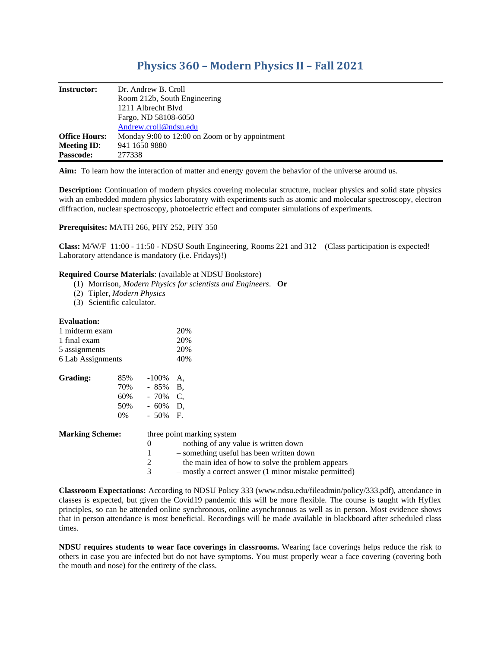# **Physics 360 – Modern Physics II – Fall 2021**

| <b>Instructor:</b>   | Dr. Andrew B. Croll                            |
|----------------------|------------------------------------------------|
|                      | Room 212b, South Engineering                   |
|                      | 1211 Albrecht Blyd                             |
|                      | Fargo, ND 58108-6050                           |
|                      | Andrew.croll@ndsu.edu                          |
| <b>Office Hours:</b> | Monday 9:00 to 12:00 on Zoom or by appointment |
| <b>Meeting ID:</b>   | 941 1650 9880                                  |
| <b>Passcode:</b>     | 277338                                         |

**Aim:** To learn how the interaction of matter and energy govern the behavior of the universe around us.

**Description:** Continuation of modern physics covering molecular structure, nuclear physics and solid state physics with an embedded modern physics laboratory with experiments such as atomic and molecular spectroscopy, electron diffraction, nuclear spectroscopy, photoelectric effect and computer simulations of experiments.

## **Prerequisites:** MATH 266, PHY 252, PHY 350

**Class:** M/W/F 11:00 - 11:50 - NDSU South Engineering, Rooms 221 and 312 (Class participation is expected! Laboratory attendance is mandatory (i.e. Fridays)!)

## **Required Course Materials**: (available at NDSU Bookstore)

- (1) Morrison, *Modern Physics for scientists and Engineers*. **Or**
- (2) Tipler, *Modern Physics*
- (3) Scientific calculator.

## **Evaluation:**

| 1 midterm exam<br>1 final exam<br>5 assignments<br>6 Lab Assignments |                                   |                                                        | 20%<br>20%<br>20%<br>40%                                                                                                                                                                                                         |
|----------------------------------------------------------------------|-----------------------------------|--------------------------------------------------------|----------------------------------------------------------------------------------------------------------------------------------------------------------------------------------------------------------------------------------|
| <b>Grading:</b>                                                      | 85%<br>70%<br>60%<br>50%<br>$0\%$ | $-100\%$<br>$-85\%$ B.<br>- 70%<br>- 60%<br>$-50\%$ F. | A.<br>C.<br>D.                                                                                                                                                                                                                   |
| <b>Marking Scheme:</b>                                               |                                   | 0<br>1<br>2<br>3                                       | three point marking system<br>- nothing of any value is written down<br>- something useful has been written down<br>– the main idea of how to solve the problem appears<br>- mostly a correct answer (1 minor mistake permitted) |

**Classroom Expectations:** According to NDSU Policy 333 (www.ndsu.edu/fileadmin/policy/333.pdf), attendance in classes is expected, but given the Covid19 pandemic this will be more flexible. The course is taught with Hyflex principles, so can be attended online synchronous, online asynchronous as well as in person. Most evidence shows that in person attendance is most beneficial. Recordings will be made available in blackboard after scheduled class times.

**NDSU requires students to wear face coverings in classrooms.** Wearing face coverings helps reduce the risk to others in case you are infected but do not have symptoms. You must properly wear a face covering (covering both the mouth and nose) for the entirety of the class.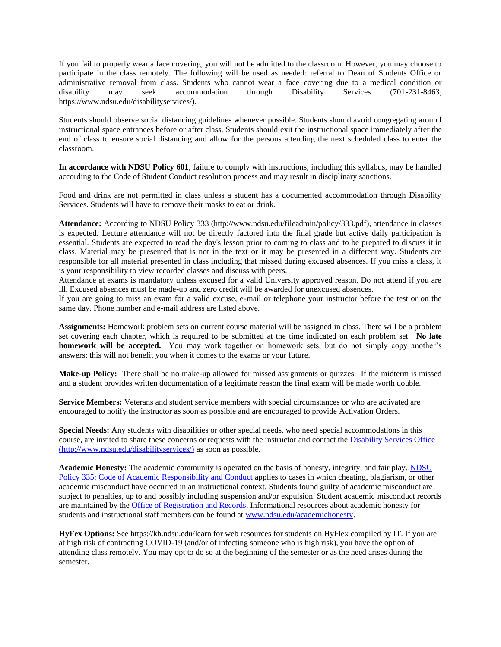If you fail to properly wear a face covering, you will not be admitted to the classroom. However, you may choose to participate in the class remotely. The following will be used as needed: referral to Dean of Students Office or administrative removal from class. Students who cannot wear a face covering due to a medical condition or disability may seek accommodation through Disability Services (701-231-8463; https://www.ndsu.edu/disabilityservices/).

Students should observe social distancing guidelines whenever possible. Students should avoid congregating around instructional space entrances before or after class. Students should exit the instructional space immediately after the end of class to ensure social distancing and allow for the persons attending the next scheduled class to enter the classroom.

**In accordance with NDSU Policy 601**, failure to comply with instructions, including this syllabus, may be handled according to the Code of Student Conduct resolution process and may result in disciplinary sanctions.

Food and drink are not permitted in class unless a student has a documented accommodation through Disability Services. Students will have to remove their masks to eat or drink.

**Attendance:** According to NDSU Policy 333 (http://www.ndsu.edu/fileadmin/policy/333.pdf), attendance in classes is expected. Lecture attendance will not be directly factored into the final grade but active daily participation is essential. Students are expected to read the day's lesson prior to coming to class and to be prepared to discuss it in class. Material may be presented that is not in the text or it may be presented in a different way. Students are responsible for all material presented in class including that missed during excused absences. If you miss a class, it is your responsibility to view recorded classes and discuss with peers.

Attendance at exams is mandatory unless excused for a valid University approved reason. Do not attend if you are ill. Excused absences must be made-up and zero credit will be awarded for unexcused absences.

If you are going to miss an exam for a valid excuse, e-mail or telephone your instructor before the test or on the same day. Phone number and e-mail address are listed above.

**Assignments:** Homework problem sets on current course material will be assigned in class. There will be a problem set covering each chapter, which is required to be submitted at the time indicated on each problem set. **No late homework will be accepted.** You may work together on homework sets, but do not simply copy another's answers; this will not benefit you when it comes to the exams or your future.

**Make-up Policy:** There shall be no make-up allowed for missed assignments or quizzes. If the midterm is missed and a student provides written documentation of a legitimate reason the final exam will be made worth double.

**Service Members:** Veterans and student service members with special circumstances or who are activated are encouraged to notify the instructor as soon as possible and are encouraged to provide Activation Orders.

**Special Needs:** Any students with disabilities or other special needs, who need special accommodations in this course, are invited to share these concerns or requests with the instructor and contact the [Disability Services Office](http://www.ndsu.edu/disabilityservices/) (http://www.ndsu.edu/disabilityservices/) as soon as possible.

**Academic Honesty:** The academic community is operated on the basis of honesty, integrity, and fair play. [NDSU](http://www.ndsu.edu/fileadmin/policy/335.pdf)  [Policy 335: Code of Academic Responsibility and Conduct](http://www.ndsu.edu/fileadmin/policy/335.pdf) applies to cases in which cheating, plagiarism, or other academic misconduct have occurred in an instructional context. Students found guilty of academic misconduct are subject to penalties, up to and possibly including suspension and/or expulsion. Student academic misconduct records are maintained by the [Office of Registration and Records.](http://www.ndsu.edu/registrar/) Informational resources about academic honesty for students and instructional staff members can be found at [www.ndsu.edu/academichonesty.](http://www.ndsu.edu/academichonesty)

**HyFex Options:** See https://kb.ndsu.edu/learn for web resources for students on HyFlex compiled by IT. If you are at high risk of contracting COVID-19 (and/or of infecting someone who is high risk), you have the option of attending class remotely. You may opt to do so at the beginning of the semester or as the need arises during the semester.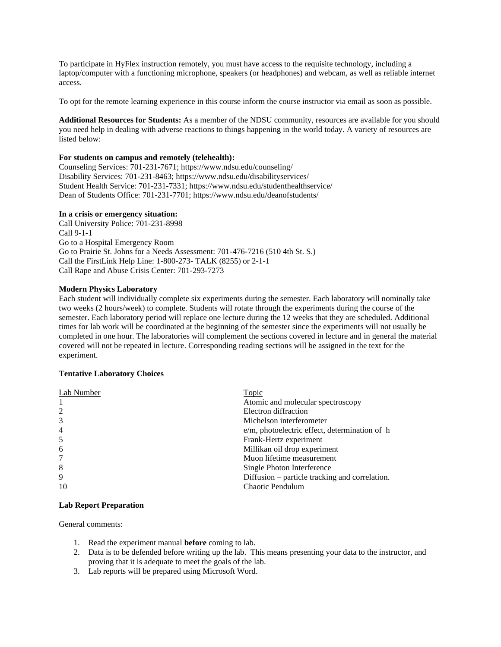To participate in HyFlex instruction remotely, you must have access to the requisite technology, including a laptop/computer with a functioning microphone, speakers (or headphones) and webcam, as well as reliable internet access.

To opt for the remote learning experience in this course inform the course instructor via email as soon as possible.

**Additional Resources for Students:** As a member of the NDSU community, resources are available for you should you need help in dealing with adverse reactions to things happening in the world today. A variety of resources are listed below:

### **For students on campus and remotely (telehealth):**

Counseling Services: 701-231-7671; https://www.ndsu.edu/counseling/ Disability Services: 701-231-8463; https://www.ndsu.edu/disabilityservices/ Student Health Service: 701-231-7331; https://www.ndsu.edu/studenthealthservice/ Dean of Students Office: 701-231-7701; https://www.ndsu.edu/deanofstudents/

#### **In a crisis or emergency situation:**

Call University Police: 701-231-8998 Call 9-1-1 Go to a Hospital Emergency Room Go to Prairie St. Johns for a Needs Assessment: 701-476-7216 (510 4th St. S.) Call the FirstLink Help Line: 1-800-273- TALK (8255) or 2-1-1 Call Rape and Abuse Crisis Center: 701-293-7273

## **Modern Physics Laboratory**

Each student will individually complete six experiments during the semester. Each laboratory will nominally take two weeks (2 hours/week) to complete. Students will rotate through the experiments during the course of the semester. Each laboratory period will replace one lecture during the 12 weeks that they are scheduled. Additional times for lab work will be coordinated at the beginning of the semester since the experiments will not usually be completed in one hour. The laboratories will complement the sections covered in lecture and in general the material covered will not be repeated in lecture. Corresponding reading sections will be assigned in the text for the experiment.

# **Tentative Laboratory Choices**

| Lab Number     | Topic                                          |
|----------------|------------------------------------------------|
|                | Atomic and molecular spectroscopy              |
| 2              | Electron diffraction                           |
| 3              | Michelson interferometer                       |
| $\overline{4}$ | e/m, photoelectric effect, determination of h  |
| 5              | Frank-Hertz experiment                         |
| 6              | Millikan oil drop experiment                   |
| 7              | Muon lifetime measurement                      |
| 8              | Single Photon Interference                     |
| 9              | Diffusion – particle tracking and correlation. |
| 10             | Chaotic Pendulum                               |

## **Lab Report Preparation**

General comments:

- 1. Read the experiment manual **before** coming to lab.
- 2. Data is to be defended before writing up the lab. This means presenting your data to the instructor, and proving that it is adequate to meet the goals of the lab.
- 3. Lab reports will be prepared using Microsoft Word.